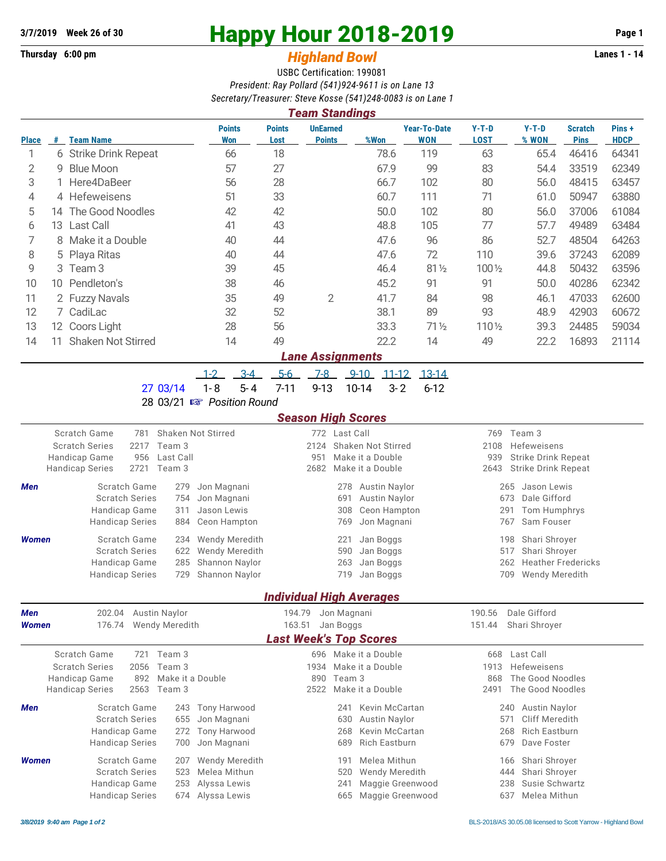## **Thursday 6:00 pm** *Highland Bowl* **Lanes 1 - 14**

# **3/7/2019 Week 26 of 30 Happy Hour 2018-2019 Page 1**

## USBC Certification: 199081 *President: Ray Pollard (541)924-9611 is on Lane 13 Secretary/Treasurer: Steve Kosse (541)248-0083 is on Lane 1*

| <b>Team Standings</b> |    |                       |                             |                       |                                  |      |                                   |                        |                  |                               |                      |
|-----------------------|----|-----------------------|-----------------------------|-----------------------|----------------------------------|------|-----------------------------------|------------------------|------------------|-------------------------------|----------------------|
| <b>Place</b>          | #  | <b>Team Name</b>      | <b>Points</b><br><b>Won</b> | <b>Points</b><br>Lost | <b>UnEarned</b><br><b>Points</b> | %Won | <b>Year-To-Date</b><br><b>WON</b> | $Y-T-D$<br><b>LOST</b> | $Y-T-D$<br>% WON | <b>Scratch</b><br><b>Pins</b> | Pins+<br><b>HDCP</b> |
|                       |    | 6 Strike Drink Repeat | 66                          | 18                    |                                  | 78.6 | 119                               | 63                     | 65.4             | 46416                         | 64341                |
| 2                     |    | 9 Blue Moon           | 57                          | 27                    |                                  | 67.9 | 99                                | 83                     | 54.4             | 33519                         | 62349                |
| 3                     |    | 1 Here4DaBeer         | 56                          | 28                    |                                  | 66.7 | 102                               | 80                     | 56.0             | 48415                         | 63457                |
| 4                     |    | 4 Hefeweisens         | 51                          | 33                    |                                  | 60.7 | 111                               | 71                     | 61.0             | 50947                         | 63880                |
| 5                     | 14 | The Good Noodles      | 42                          | 42                    |                                  | 50.0 | 102                               | 80                     | 56.0             | 37006                         | 61084                |
| 6                     |    | 13 Last Call          | 41                          | 43                    |                                  | 48.8 | 105                               | 77                     | 57.7             | 49489                         | 63484                |
|                       |    | 8 Make it a Double    | 40                          | 44                    |                                  | 47.6 | 96                                | 86                     | 52.7             | 48504                         | 64263                |
| 8                     |    | 5 Playa Ritas         | 40                          | 44                    |                                  | 47.6 | 72                                | 110                    | 39.6             | 37243                         | 62089                |
| 9                     |    | 3 Team 3              | 39                          | 45                    |                                  | 46.4 | $81\frac{1}{2}$                   | 100 1/2                | 44.8             | 50432                         | 63596                |
| 10                    | 10 | Pendleton's           | 38                          | 46                    |                                  | 45.2 | 91                                | 91                     | 50.0             | 40286                         | 62342                |
| 11                    |    | 2 Fuzzy Navals        | 35                          | 49                    | 2                                | 41.7 | 84                                | 98                     | 46.1             | 47033                         | 62600                |
| 12                    |    | 7 CadiLac             | 32                          | 52                    |                                  | 38.1 | 89                                | 93                     | 48.9             | 42903                         | 60672                |
| 13                    |    | 12 Coors Light        | 28                          | 56                    |                                  | 33.3 | $71\frac{1}{2}$                   | 110 1/2                | 39.3             | 24485                         | 59034                |
| 14                    | 11 | Shaken Not Stirred    | 14                          | 49                    |                                  | 22.2 | 14                                | 49                     | 22.2             | 16893                         | 21114                |
|                       |    |                       |                             |                       | ang Accianmente                  |      |                                   |                        |                  |                               |                      |

#### *Lane Assignments*

1-2 3-4 5-6 7-8 9-10 11-12 13-14

27 03/14 1-8 5-4 7-11 9-13 10-14 3-2 6-12

28 03/21 { *Position Round*

### *Season High Scores*

|                            | Scratch Game<br><b>Scratch Series</b><br>Handicap Game                           | 781<br>2217<br>956                                      | Team 3<br>Last Call<br>Team 3                  | <b>Shaken Not Stirred</b>                                                   | 2124<br>951<br>2682                          | 772 Last Call            | Shaken Not Stirred<br>Make it a Double                                           | 769<br>2108<br>939                                | Team 3<br>Hefeweisens<br><b>Strike Drink Repeat</b>                                                       |  |  |
|----------------------------|----------------------------------------------------------------------------------|---------------------------------------------------------|------------------------------------------------|-----------------------------------------------------------------------------|----------------------------------------------|--------------------------|----------------------------------------------------------------------------------|---------------------------------------------------|-----------------------------------------------------------------------------------------------------------|--|--|
|                            | <b>Handicap Series</b>                                                           | 2721                                                    |                                                |                                                                             |                                              | Make it a Double         |                                                                                  | 2643                                              | Strike Drink Repeat                                                                                       |  |  |
| Men                        | <b>Scratch Series</b><br>Handicap Game                                           | Scratch Game                                            | 279<br>754<br>311                              | Jon Magnani<br>Jon Magnani<br>Jason Lewis                                   |                                              | 278<br>691<br>308        | Austin Naylor<br><b>Austin Naylor</b><br>Ceon Hampton                            |                                                   | Jason Lewis<br>265<br>Dale Gifford<br>673<br>Tom Humphrys<br>291                                          |  |  |
|                            | <b>Handicap Series</b>                                                           |                                                         | 884                                            | Ceon Hampton                                                                |                                              | 769                      | Jon Magnani                                                                      |                                                   | Sam Fouser<br>767                                                                                         |  |  |
| <b>Women</b>               | <b>Scratch Series</b><br>Handicap Game<br><b>Handicap Series</b>                 | Scratch Game                                            | 234<br>622<br>285<br>729                       | <b>Wendy Meredith</b><br>Wendy Meredith<br>Shannon Naylor<br>Shannon Naylor |                                              | 221<br>590<br>263<br>719 | Jan Boggs<br>Jan Boggs<br>Jan Boggs<br>Jan Boggs                                 |                                                   | Shari Shroyer<br>198<br>Shari Shroyer<br>517<br><b>Heather Fredericks</b><br>262<br>Wendy Meredith<br>709 |  |  |
|                            |                                                                                  |                                                         |                                                |                                                                             | <b>Individual High Averages</b>              |                          |                                                                                  |                                                   |                                                                                                           |  |  |
| <b>Men</b><br><b>Women</b> | 176.74                                                                           | 202.04<br><b>Austin Naylor</b><br><b>Wendy Meredith</b> |                                                |                                                                             | 194.79<br>Jon Magnani<br>163.51<br>Jan Boggs |                          |                                                                                  | 190.56<br>Dale Gifford<br>151.44<br>Shari Shroyer |                                                                                                           |  |  |
|                            |                                                                                  |                                                         |                                                |                                                                             | <b>Last Week's Top Scores</b>                |                          |                                                                                  |                                                   |                                                                                                           |  |  |
|                            | Scratch Game<br><b>Scratch Series</b><br>Handicap Game<br><b>Handicap Series</b> | 721<br>2056<br>892<br>2563                              | Team 3<br>Team 3<br>Make it a Double<br>Team 3 |                                                                             | 1934<br>890<br>2522                          | Team 3                   | 696 Make it a Double<br>Make it a Double<br>Make it a Double                     | 668<br>1913<br>868<br>2491                        | Last Call<br><b>Hefeweisens</b><br>The Good Noodles<br>The Good Noodles                                   |  |  |
| <b>Men</b>                 | <b>Scratch Series</b><br>Handicap Game<br><b>Handicap Series</b>                 | Scratch Game                                            | 243<br>655<br>272<br>700                       | <b>Tony Harwood</b><br>Jon Magnani<br><b>Tony Harwood</b><br>Jon Magnani    |                                              | 241<br>630<br>268<br>689 | Kevin McCartan<br><b>Austin Naylor</b><br>Kevin McCartan<br><b>Rich Eastburn</b> |                                                   | <b>Austin Naylor</b><br>240<br>Cliff Meredith<br>571<br><b>Rich Eastburn</b><br>268<br>Dave Foster<br>679 |  |  |
| <b>Women</b>               | <b>Scratch Series</b><br>Handicap Game<br><b>Handicap Series</b>                 | Scratch Game                                            | 207<br>523<br>253<br>674                       | <b>Wendy Meredith</b><br>Melea Mithun<br>Alyssa Lewis<br>Alvssa Lewis       |                                              | 191<br>520<br>241<br>665 | Melea Mithun<br><b>Wendy Meredith</b><br>Maggie Greenwood<br>Maggie Greenwood    |                                                   | Shari Shroyer<br>166<br>Shari Shrover<br>444<br>Susie Schwartz<br>238<br>637<br>Melea Mithun              |  |  |